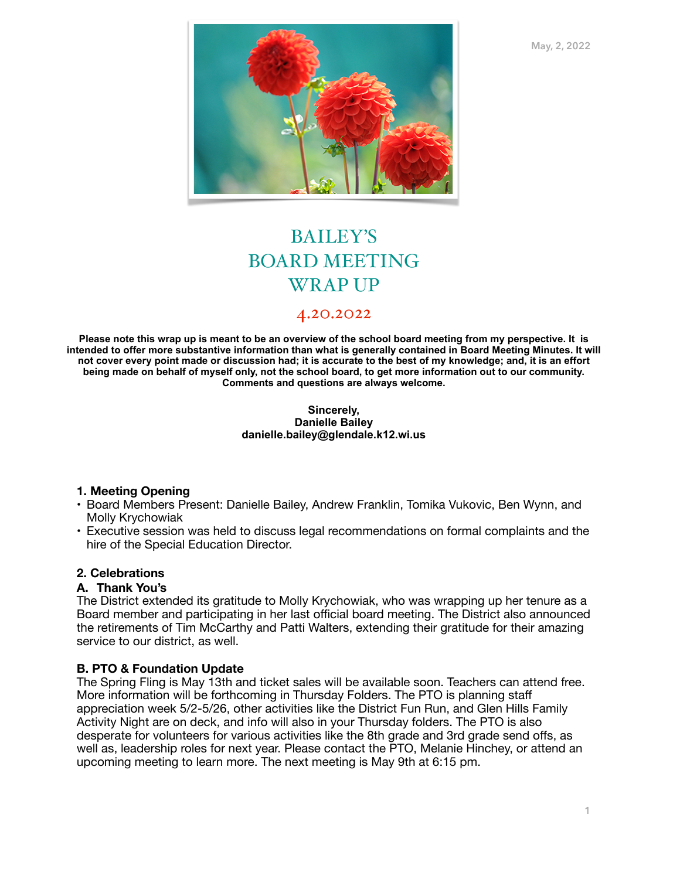**May, 2, 2022**



# BAILEY'S BOARD MEETING WRAP UP

# 4.20.2022

**Please note this wrap up is meant to be an overview of the school board meeting from my perspective. It is intended to offer more substantive information than what is generally contained in Board Meeting Minutes. It will not cover every point made or discussion had; it is accurate to the best of my knowledge; and, it is an effort being made on behalf of myself only, not the school board, to get more information out to our community. Comments and questions are always welcome.** 

#### **Sincerely, Danielle Bailey danielle.bailey@glendale.k12.wi.us**

# **1. Meeting Opening**

- Board Members Present: Danielle Bailey, Andrew Franklin, Tomika Vukovic, Ben Wynn, and Molly Krychowiak
- Executive session was held to discuss legal recommendations on formal complaints and the hire of the Special Education Director.

# **2. Celebrations**

#### **A. Thank You's**

The District extended its gratitude to Molly Krychowiak, who was wrapping up her tenure as a Board member and participating in her last official board meeting. The District also announced the retirements of Tim McCarthy and Patti Walters, extending their gratitude for their amazing service to our district, as well.

# **B. PTO & Foundation Update**

The Spring Fling is May 13th and ticket sales will be available soon. Teachers can attend free. More information will be forthcoming in Thursday Folders. The PTO is planning staff appreciation week 5/2-5/26, other activities like the District Fun Run, and Glen Hills Family Activity Night are on deck, and info will also in your Thursday folders. The PTO is also desperate for volunteers for various activities like the 8th grade and 3rd grade send offs, as well as, leadership roles for next year. Please contact the PTO, Melanie Hinchey, or attend an upcoming meeting to learn more. The next meeting is May 9th at 6:15 pm.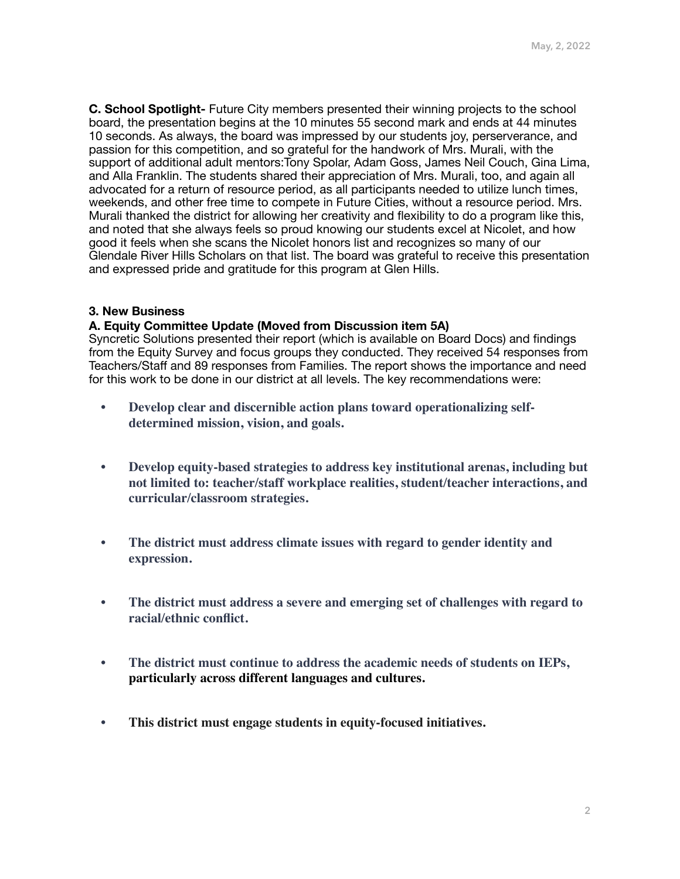**C. School Spotlight-** Future City members presented their winning projects to the school board, the presentation begins at the 10 minutes 55 second mark and ends at 44 minutes 10 seconds. As always, the board was impressed by our students joy, perserverance, and passion for this competition, and so grateful for the handwork of Mrs. Murali, with the support of additional adult mentors:Tony Spolar, Adam Goss, James Neil Couch, Gina Lima, and Alla Franklin. The students shared their appreciation of Mrs. Murali, too, and again all advocated for a return of resource period, as all participants needed to utilize lunch times, weekends, and other free time to compete in Future Cities, without a resource period. Mrs. Murali thanked the district for allowing her creativity and flexibility to do a program like this, and noted that she always feels so proud knowing our students excel at Nicolet, and how good it feels when she scans the Nicolet honors list and recognizes so many of our Glendale River Hills Scholars on that list. The board was grateful to receive this presentation and expressed pride and gratitude for this program at Glen Hills.

# **3. New Business**

### **A. Equity Committee Update (Moved from Discussion item 5A)**

Syncretic Solutions presented their report (which is available on Board Docs) and findings from the Equity Survey and focus groups they conducted. They received 54 responses from Teachers/Staff and 89 responses from Families. The report shows the importance and need for this work to be done in our district at all levels. The key recommendations were:

- **Develop clear and discernible action plans toward operationalizing selfdetermined mission, vision, and goals.**
- **Develop equity-based strategies to address key institutional arenas, including but not limited to: teacher/staff workplace realities, student/teacher interactions, and curricular/classroom strategies.**
- **The district must address climate issues with regard to gender identity and expression.**
- **The district must address a severe and emerging set of challenges with regard to racial/ethnic conflict.**
- **The district must continue to address the academic needs of students on IEPs, particularly across different languages and cultures.**
- **This district must engage students in equity-focused initiatives.**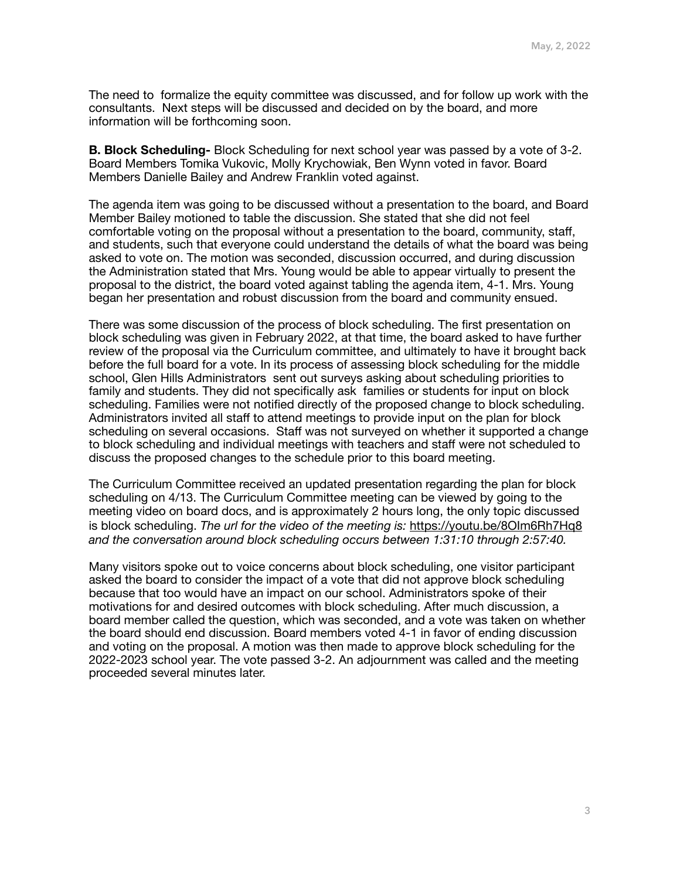The need to formalize the equity committee was discussed, and for follow up work with the consultants. Next steps will be discussed and decided on by the board, and more information will be forthcoming soon.

**B. Block Scheduling-** Block Scheduling for next school year was passed by a vote of 3-2. Board Members Tomika Vukovic, Molly Krychowiak, Ben Wynn voted in favor. Board Members Danielle Bailey and Andrew Franklin voted against.

The agenda item was going to be discussed without a presentation to the board, and Board Member Bailey motioned to table the discussion. She stated that she did not feel comfortable voting on the proposal without a presentation to the board, community, staff, and students, such that everyone could understand the details of what the board was being asked to vote on. The motion was seconded, discussion occurred, and during discussion the Administration stated that Mrs. Young would be able to appear virtually to present the proposal to the district, the board voted against tabling the agenda item, 4-1. Mrs. Young began her presentation and robust discussion from the board and community ensued.

There was some discussion of the process of block scheduling. The first presentation on block scheduling was given in February 2022, at that time, the board asked to have further review of the proposal via the Curriculum committee, and ultimately to have it brought back before the full board for a vote. In its process of assessing block scheduling for the middle school, Glen Hills Administrators sent out surveys asking about scheduling priorities to family and students. They did not specifically ask families or students for input on block scheduling. Families were not notified directly of the proposed change to block scheduling. Administrators invited all staff to attend meetings to provide input on the plan for block scheduling on several occasions. Staff was not surveyed on whether it supported a change to block scheduling and individual meetings with teachers and staff were not scheduled to discuss the proposed changes to the schedule prior to this board meeting.

The Curriculum Committee received an updated presentation regarding the plan for block scheduling on 4/13. The Curriculum Committee meeting can be viewed by going to the meeting video on board docs, and is approximately 2 hours long, the only topic discussed is block scheduling. *The url for the video of the meeting is:* <https://youtu.be/8OIm6Rh7Hq8> *and the conversation around block scheduling occurs between 1:31:10 through 2:57:40.*

Many visitors spoke out to voice concerns about block scheduling, one visitor participant asked the board to consider the impact of a vote that did not approve block scheduling because that too would have an impact on our school. Administrators spoke of their motivations for and desired outcomes with block scheduling. After much discussion, a board member called the question, which was seconded, and a vote was taken on whether the board should end discussion. Board members voted 4-1 in favor of ending discussion and voting on the proposal. A motion was then made to approve block scheduling for the 2022-2023 school year. The vote passed 3-2. An adjournment was called and the meeting proceeded several minutes later.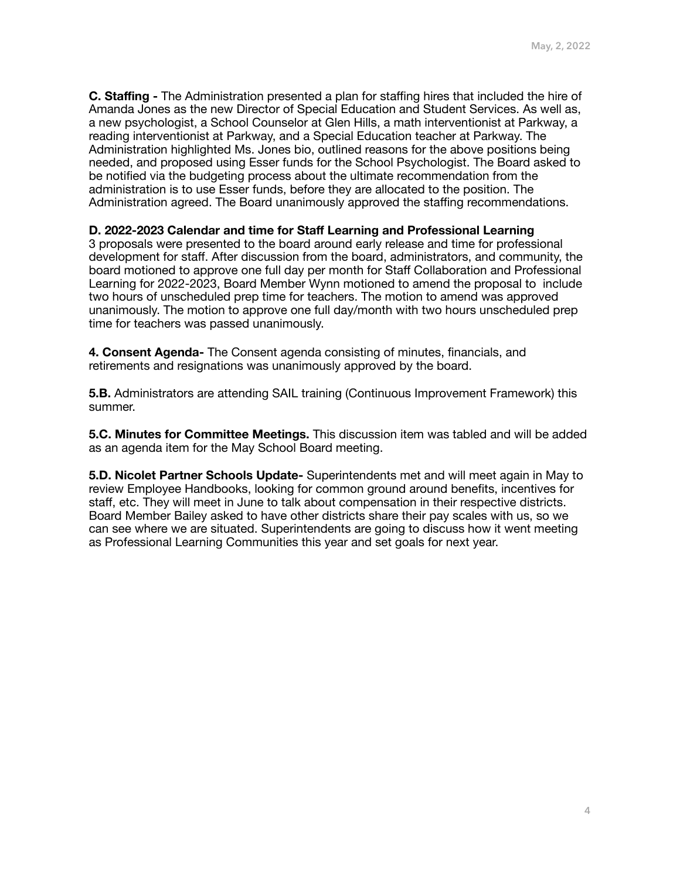**C. Staffing -** The Administration presented a plan for staffing hires that included the hire of Amanda Jones as the new Director of Special Education and Student Services. As well as, a new psychologist, a School Counselor at Glen Hills, a math interventionist at Parkway, a reading interventionist at Parkway, and a Special Education teacher at Parkway. The Administration highlighted Ms. Jones bio, outlined reasons for the above positions being needed, and proposed using Esser funds for the School Psychologist. The Board asked to be notified via the budgeting process about the ultimate recommendation from the administration is to use Esser funds, before they are allocated to the position. The Administration agreed. The Board unanimously approved the staffing recommendations.

### **D. 2022-2023 Calendar and time for Staff Learning and Professional Learning**

3 proposals were presented to the board around early release and time for professional development for staff. After discussion from the board, administrators, and community, the board motioned to approve one full day per month for Staff Collaboration and Professional Learning for 2022-2023, Board Member Wynn motioned to amend the proposal to include two hours of unscheduled prep time for teachers. The motion to amend was approved unanimously. The motion to approve one full day/month with two hours unscheduled prep time for teachers was passed unanimously.

**4. Consent Agenda-** The Consent agenda consisting of minutes, financials, and retirements and resignations was unanimously approved by the board.

**5.B.** Administrators are attending SAIL training (Continuous Improvement Framework) this summer.

**5.C. Minutes for Committee Meetings.** This discussion item was tabled and will be added as an agenda item for the May School Board meeting.

**5.D. Nicolet Partner Schools Update-** Superintendents met and will meet again in May to review Employee Handbooks, looking for common ground around benefits, incentives for staff, etc. They will meet in June to talk about compensation in their respective districts. Board Member Bailey asked to have other districts share their pay scales with us, so we can see where we are situated. Superintendents are going to discuss how it went meeting as Professional Learning Communities this year and set goals for next year.